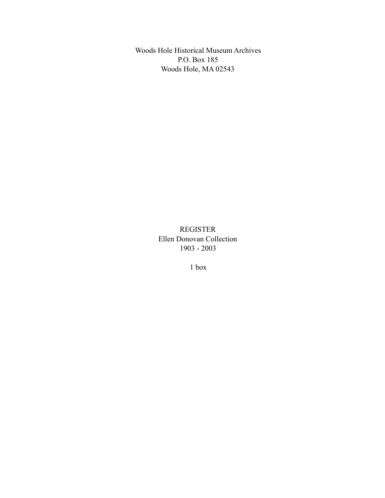Woods Hole Historical Museum Archives P.O. Box 185 Woods Hole, MA 02543

> REGISTER Ellen Donovan Collection 1903 - 2003

> > 1 box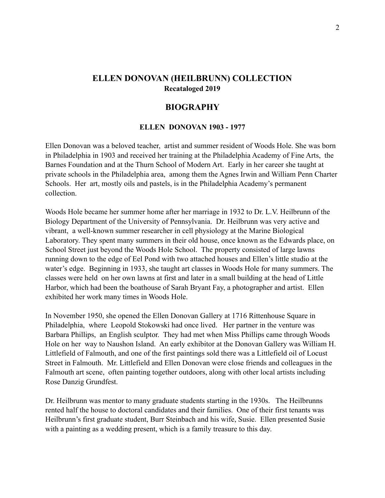# **ELLEN DONOVAN (HEILBRUNN) COLLECTION Recataloged 2019**

## **BIOGRAPHY**

#### **ELLEN DONOVAN 1903 - 1977**

Ellen Donovan was a beloved teacher, artist and summer resident of Woods Hole. She was born in Philadelphia in 1903 and received her training at the Philadelphia Academy of Fine Arts, the Barnes Foundation and at the Thurn School of Modern Art. Early in her career she taught at private schools in the Philadelphia area, among them the Agnes Irwin and William Penn Charter Schools. Her art, mostly oils and pastels, is in the Philadelphia Academy's permanent collection.

Woods Hole became her summer home after her marriage in 1932 to Dr. L.V. Heilbrunn of the Biology Department of the University of Pennsylvania. Dr. Heilbrunn was very active and vibrant, a well-known summer researcher in cell physiology at the Marine Biological Laboratory. They spent many summers in their old house, once known as the Edwards place, on School Street just beyond the Woods Hole School. The property consisted of large lawns running down to the edge of Eel Pond with two attached houses and Ellen's little studio at the water's edge. Beginning in 1933, she taught art classes in Woods Hole for many summers. The classes were held on her own lawns at first and later in a small building at the head of Little Harbor, which had been the boathouse of Sarah Bryant Fay, a photographer and artist. Ellen exhibited her work many times in Woods Hole.

In November 1950, she opened the Ellen Donovan Gallery at 1716 Rittenhouse Square in Philadelphia, where Leopold Stokowski had once lived. Her partner in the venture was Barbara Phillips, an English sculptor. They had met when Miss Phillips came through Woods Hole on her way to Naushon Island. An early exhibitor at the Donovan Gallery was William H. Littlefield of Falmouth, and one of the first paintings sold there was a Littlefield oil of Locust Street in Falmouth. Mr. Littlefield and Ellen Donovan were close friends and colleagues in the Falmouth art scene, often painting together outdoors, along with other local artists including Rose Danzig Grundfest.

Dr. Heilbrunn was mentor to many graduate students starting in the 1930s. The Heilbrunns rented half the house to doctoral candidates and their families. One of their first tenants was Heilbrunn's first graduate student, Burr Steinbach and his wife, Susie. Ellen presented Susie with a painting as a wedding present, which is a family treasure to this day.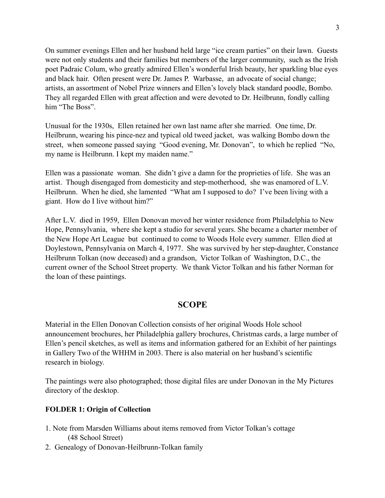On summer evenings Ellen and her husband held large "ice cream parties" on their lawn. Guests were not only students and their families but members of the larger community, such as the Irish poet Padraic Colum, who greatly admired Ellen's wonderful Irish beauty, her sparkling blue eyes and black hair. Often present were Dr. James P. Warbasse, an advocate of social change; artists, an assortment of Nobel Prize winners and Ellen's lovely black standard poodle, Bombo. They all regarded Ellen with great affection and were devoted to Dr. Heilbrunn, fondly calling him "The Boss".

Unusual for the 1930s, Ellen retained her own last name after she married. One time, Dr. Heilbrunn, wearing his pince-nez and typical old tweed jacket, was walking Bombo down the street, when someone passed saying "Good evening, Mr. Donovan", to which he replied "No, my name is Heilbrunn. I kept my maiden name."

Ellen was a passionate woman. She didn't give a damn for the proprieties of life. She was an artist. Though disengaged from domesticity and step-motherhood, she was enamored of L.V. Heilbrunn. When he died, she lamented "What am I supposed to do? I've been living with a giant. How do I live without him?"

After L.V. died in 1959, Ellen Donovan moved her winter residence from Philadelphia to New Hope, Pennsylvania, where she kept a studio for several years. She became a charter member of the New Hope Art League but continued to come to Woods Hole every summer. Ellen died at Doylestown, Pennsylvania on March 4, 1977. She was survived by her step-daughter, Constance Heilbrunn Tolkan (now deceased) and a grandson, Victor Tolkan of Washington, D.C., the current owner of the School Street property. We thank Victor Tolkan and his father Norman for the loan of these paintings.

## **SCOPE**

Material in the Ellen Donovan Collection consists of her original Woods Hole school announcement brochures, her Philadelphia gallery brochures, Christmas cards, a large number of Ellen's pencil sketches, as well as items and information gathered for an Exhibit of her paintings in Gallery Two of the WHHM in 2003. There is also material on her husband's scientific research in biology.

The paintings were also photographed; those digital files are under Donovan in the My Pictures directory of the desktop.

#### **FOLDER 1: Origin of Collection**

- 1. Note from Marsden Williams about items removed from Victor Tolkan's cottage (48 School Street)
- 2. Genealogy of Donovan-Heilbrunn-Tolkan family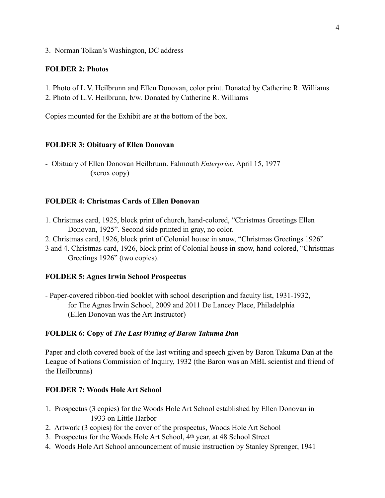3. Norman Tolkan's Washington, DC address

#### **FOLDER 2: Photos**

1. Photo of L.V. Heilbrunn and Ellen Donovan, color print. Donated by Catherine R. Williams

2. Photo of L.V. Heilbrunn, b/w. Donated by Catherine R. Williams

Copies mounted for the Exhibit are at the bottom of the box.

## **FOLDER 3: Obituary of Ellen Donovan**

- Obituary of Ellen Donovan Heilbrunn. Falmouth *Enterprise*, April 15, 1977 (xerox copy)

### **FOLDER 4: Christmas Cards of Ellen Donovan**

- 1. Christmas card, 1925, block print of church, hand-colored, "Christmas Greetings Ellen Donovan, 1925". Second side printed in gray, no color.
- 2. Christmas card, 1926, block print of Colonial house in snow, "Christmas Greetings 1926"
- 3 and 4. Christmas card, 1926, block print of Colonial house in snow, hand-colored, "Christmas Greetings 1926" (two copies).

## **FOLDER 5: Agnes Irwin School Prospectus**

- Paper-covered ribbon-tied booklet with school description and faculty list, 1931-1932, for The Agnes Irwin School, 2009 and 2011 De Lancey Place, Philadelphia (Ellen Donovan was the Art Instructor)

### **FOLDER 6: Copy of** *The Last Writing of Baron Takuma Dan*

Paper and cloth covered book of the last writing and speech given by Baron Takuma Dan at the League of Nations Commission of Inquiry, 1932 (the Baron was an MBL scientist and friend of the Heilbrunns)

### **FOLDER 7: Woods Hole Art School**

- 1. Prospectus (3 copies) for the Woods Hole Art School established by Ellen Donovan in 1933 on Little Harbor
- 2. Artwork (3 copies) for the cover of the prospectus, Woods Hole Art School
- 3. Prospectus for the Woods Hole Art School, 4th year, at 48 School Street
- 4. Woods Hole Art School announcement of music instruction by Stanley Sprenger, 1941